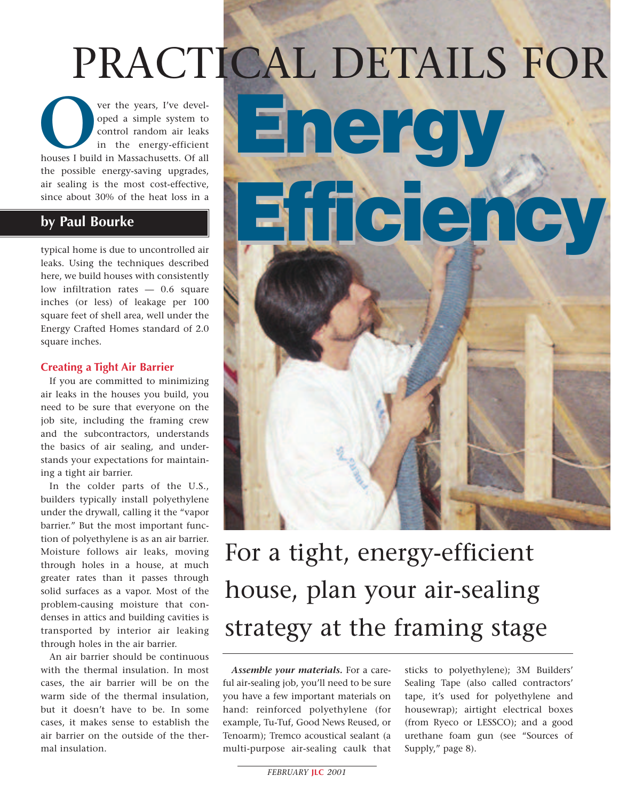## **O**ver the years, I've developed a simple system to control random air leaks<br>in the energy-efficient<br>houses I build in Massachusetts. Of all oped a simple system to control random air leaks in the energy-efficient the possible energy-saving upgrades, air sealing is the most cost-effective, since about 30% of the heat loss in a typical home is due to uncontrolled air **by Paul Bourke Energy Energy Efficiency Efficiency**PRACTICAL DETAILS FOR

leaks. Using the techniques described here, we build houses with consistently low infiltration rates — 0.6 square inches (or less) of leakage per 100 square feet of shell area, well under the Energy Crafted Homes standard of 2.0 square inches.

## **Creating a Tight Air Barrier**

If you are committed to minimizing air leaks in the houses you build, you need to be sure that everyone on the job site, including the framing crew and the subcontractors, understands the basics of air sealing, and understands your expectations for maintaining a tight air barrier.

In the colder parts of the U.S., builders typically install polyethylene under the drywall, calling it the "vapor barrier." But the most important function of polyethylene is as an air barrier. Moisture follows air leaks, moving through holes in a house, at much greater rates than it passes through solid surfaces as a vapor. Most of the problem-causing moisture that condenses in attics and building cavities is transported by interior air leaking through holes in the air barrier.

An air barrier should be continuous with the thermal insulation. In most cases, the air barrier will be on the warm side of the thermal insulation, but it doesn't have to be. In some cases, it makes sense to establish the air barrier on the outside of the thermal insulation.

For a tight, energy-efficient house, plan your air-sealing strategy at the framing stage

*Assemble your materials.* For a careful air-sealing job, you'll need to be sure you have a few important materials on hand: reinforced polyethylene (for example, Tu-Tuf, Good News Reused, or Tenoarm); Tremco acoustical sealant (a multi-purpose air-sealing caulk that

sticks to polyethylene); 3M Builders' Sealing Tape (also called contractors' tape, it's used for polyethylene and housewrap); airtight electrical boxes (from Ryeco or LESSCO); and a good urethane foam gun (see "Sources of Supply," page 8).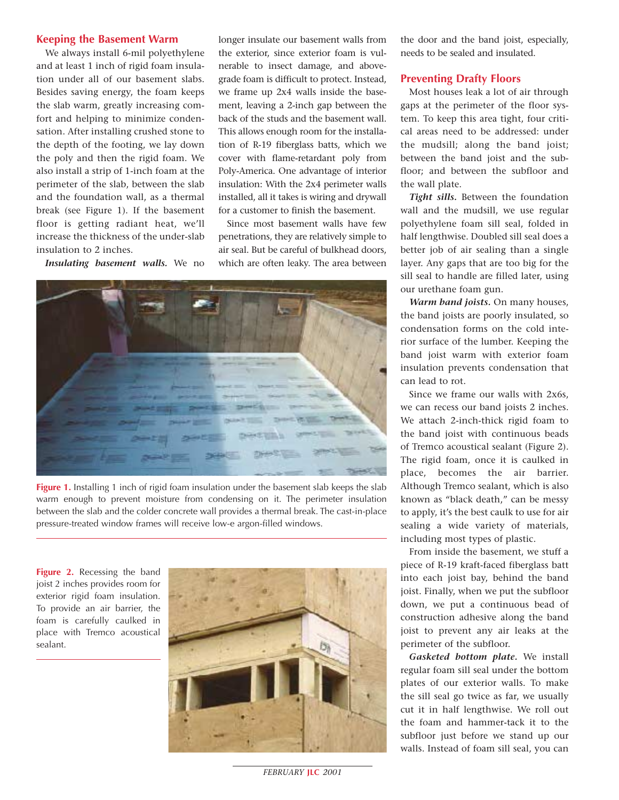## **Keeping the Basement Warm**

We always install 6-mil polyethylene and at least 1 inch of rigid foam insulation under all of our basement slabs. Besides saving energy, the foam keeps the slab warm, greatly increasing comfort and helping to minimize condensation. After installing crushed stone to the depth of the footing, we lay down the poly and then the rigid foam. We also install a strip of 1-inch foam at the perimeter of the slab, between the slab and the foundation wall, as a thermal break (see Figure 1). If the basement floor is getting radiant heat, we'll increase the thickness of the under-slab insulation to 2 inches.

*Insulating basement walls.* We no

longer insulate our basement walls from the exterior, since exterior foam is vulnerable to insect damage, and abovegrade foam is difficult to protect. Instead, we frame up 2x4 walls inside the basement, leaving a 2-inch gap between the back of the studs and the basement wall. This allows enough room for the installation of R-19 fiberglass batts, which we cover with flame-retardant poly from Poly-America. One advantage of interior insulation: With the 2x4 perimeter walls installed, all it takes is wiring and drywall for a customer to finish the basement.

Since most basement walls have few penetrations, they are relatively simple to air seal. But be careful of bulkhead doors, which are often leaky. The area between



**Figure 1.** Installing 1 inch of rigid foam insulation under the basement slab keeps the slab warm enough to prevent moisture from condensing on it. The perimeter insulation between the slab and the colder concrete wall provides a thermal break. The cast-in-place pressure-treated window frames will receive low-e argon-filled windows.

**Figure 2.** Recessing the band joist 2 inches provides room for exterior rigid foam insulation. To provide an air barrier, the foam is carefully caulked in place with Tremco acoustical sealant.



the door and the band joist, especially, needs to be sealed and insulated.

#### **Preventing Drafty Floors**

Most houses leak a lot of air through gaps at the perimeter of the floor system. To keep this area tight, four critical areas need to be addressed: under the mudsill; along the band joist; between the band joist and the subfloor; and between the subfloor and the wall plate.

*Tight sills.* Between the foundation wall and the mudsill, we use regular polyethylene foam sill seal, folded in half lengthwise. Doubled sill seal does a better job of air sealing than a single layer. Any gaps that are too big for the sill seal to handle are filled later, using our urethane foam gun.

*Warm band joists.* On many houses, the band joists are poorly insulated, so condensation forms on the cold interior surface of the lumber. Keeping the band joist warm with exterior foam insulation prevents condensation that can lead to rot.

Since we frame our walls with 2x6s, we can recess our band joists 2 inches. We attach 2-inch-thick rigid foam to the band joist with continuous beads of Tremco acoustical sealant (Figure 2). The rigid foam, once it is caulked in place, becomes the air barrier. Although Tremco sealant, which is also known as "black death," can be messy to apply, it's the best caulk to use for air sealing a wide variety of materials, including most types of plastic.

From inside the basement, we stuff a piece of R-19 kraft-faced fiberglass batt into each joist bay, behind the band joist. Finally, when we put the subfloor down, we put a continuous bead of construction adhesive along the band joist to prevent any air leaks at the perimeter of the subfloor.

*Gasketed bottom plate.* We install regular foam sill seal under the bottom plates of our exterior walls. To make the sill seal go twice as far, we usually cut it in half lengthwise. We roll out the foam and hammer-tack it to the subfloor just before we stand up our walls. Instead of foam sill seal, you can

*FEBRUARY* **JLC** *2001*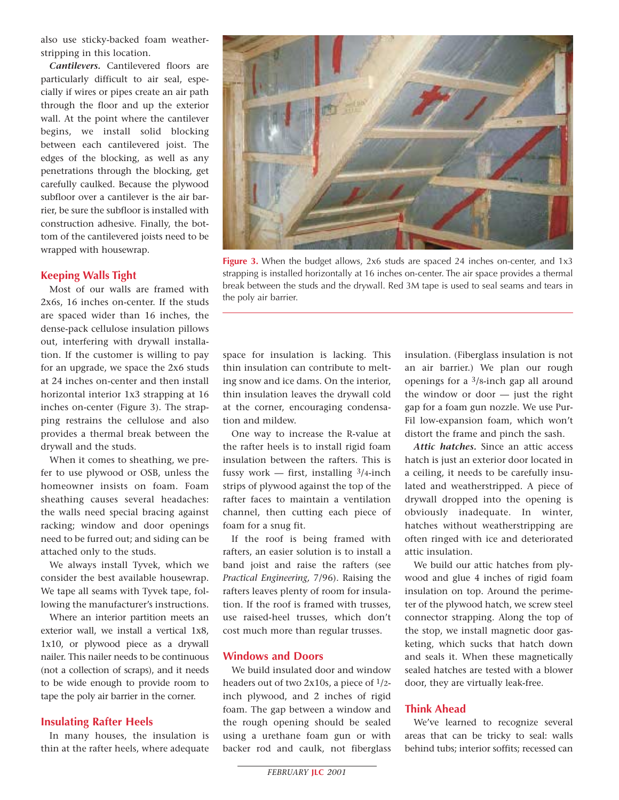also use sticky-backed foam weatherstripping in this location.

*Cantilevers.* Cantilevered floors are particularly difficult to air seal, especially if wires or pipes create an air path through the floor and up the exterior wall. At the point where the cantilever begins, we install solid blocking between each cantilevered joist. The edges of the blocking, as well as any penetrations through the blocking, get carefully caulked. Because the plywood subfloor over a cantilever is the air barrier, be sure the subfloor is installed with construction adhesive. Finally, the bottom of the cantilevered joists need to be wrapped with housewrap.

#### **Keeping Walls Tight**

Most of our walls are framed with 2x6s, 16 inches on-center. If the studs are spaced wider than 16 inches, the dense-pack cellulose insulation pillows out, interfering with drywall installation. If the customer is willing to pay for an upgrade, we space the 2x6 studs at 24 inches on-center and then install horizontal interior 1x3 strapping at 16 inches on-center (Figure 3). The strapping restrains the cellulose and also provides a thermal break between the drywall and the studs.

When it comes to sheathing, we prefer to use plywood or OSB, unless the homeowner insists on foam. Foam sheathing causes several headaches: the walls need special bracing against racking; window and door openings need to be furred out; and siding can be attached only to the studs.

We always install Tyvek, which we consider the best available housewrap. We tape all seams with Tyvek tape, following the manufacturer's instructions.

Where an interior partition meets an exterior wall, we install a vertical 1x8, 1x10, or plywood piece as a drywall nailer. This nailer needs to be continuous (not a collection of scraps), and it needs to be wide enough to provide room to tape the poly air barrier in the corner.

#### **Insulating Rafter Heels**

In many houses, the insulation is thin at the rafter heels, where adequate



Figure 3. When the budget allows, 2x6 studs are spaced 24 inches on-center, and 1x3 strapping is installed horizontally at 16 inches on-center. The air space provides a thermal break between the studs and the drywall. Red 3M tape is used to seal seams and tears in the poly air barrier.

space for insulation is lacking. This thin insulation can contribute to melting snow and ice dams. On the interior, thin insulation leaves the drywall cold at the corner, encouraging condensation and mildew.

One way to increase the R-value at the rafter heels is to install rigid foam insulation between the rafters. This is fussy work — first, installing  $\frac{3}{4}$ -inch strips of plywood against the top of the rafter faces to maintain a ventilation channel, then cutting each piece of foam for a snug fit.

If the roof is being framed with rafters, an easier solution is to install a band joist and raise the rafters (see *Practical Engineering,* 7/96). Raising the rafters leaves plenty of room for insulation. If the roof is framed with trusses, use raised-heel trusses, which don't cost much more than regular trusses.

#### **Windows and Doors**

We build insulated door and window headers out of two 2x10s, a piece of  $1/2$ inch plywood, and 2 inches of rigid foam. The gap between a window and the rough opening should be sealed using a urethane foam gun or with backer rod and caulk, not fiberglass

insulation. (Fiberglass insulation is not an air barrier.) We plan our rough openings for a  $\frac{3}{8}$ -inch gap all around the window or door — just the right gap for a foam gun nozzle. We use Pur-Fil low-expansion foam, which won't distort the frame and pinch the sash.

*Attic hatches.* Since an attic access hatch is just an exterior door located in a ceiling, it needs to be carefully insulated and weatherstripped. A piece of drywall dropped into the opening is obviously inadequate. In winter, hatches without weatherstripping are often ringed with ice and deteriorated attic insulation.

We build our attic hatches from plywood and glue 4 inches of rigid foam insulation on top. Around the perimeter of the plywood hatch, we screw steel connector strapping. Along the top of the stop, we install magnetic door gasketing, which sucks that hatch down and seals it. When these magnetically sealed hatches are tested with a blower door, they are virtually leak-free.

#### **Think Ahead**

We've learned to recognize several areas that can be tricky to seal: walls behind tubs; interior soffits; recessed can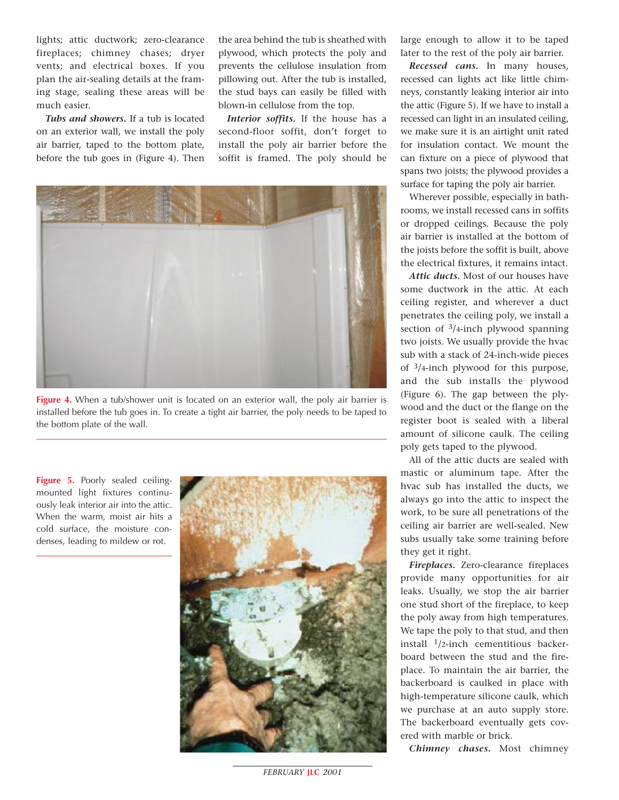lights; attic ductwork; zero-clearance fireplaces; chimney chases; dryer vents; and electrical boxes. If you plan the air-sealing details at the framing stage, sealing these areas will be much easier.

*Tubs and showers.* If a tub is located on an exterior wall, we install the poly air barrier, taped to the bottom plate, before the tub goes in (Figure 4). Then the area behind the tub is sheathed with plywood, which protects the poly and prevents the cellulose insulation from pillowing out. After the tub is installed, the stud bays can easily be filled with blown-in cellulose from the top.

*Interior soffits.* If the house has a second-floor soffit, don't forget to install the poly air barrier before the soffit is framed. The poly should be



**Figure 4.** When a tub/shower unit is located on an exterior wall, the poly air barrier is installed before the tub goes in. To create a tight air barrier, the poly needs to be taped to the bottom plate of the wall.

**Figure 5.** Poorly sealed ceilingmounted light fixtures continuously leak interior air into the attic. When the warm, moist air hits a cold surface, the moisture condenses, leading to mildew or rot.



large enough to allow it to be taped later to the rest of the poly air barrier.

*Recessed cans.* In many houses, recessed can lights act like little chimneys, constantly leaking interior air into the attic (Figure 5). If we have to install a recessed can light in an insulated ceiling, we make sure it is an airtight unit rated for insulation contact. We mount the can fixture on a piece of plywood that spans two joists; the plywood provides a surface for taping the poly air barrier.

Wherever possible, especially in bathrooms, we install recessed cans in soffits or dropped ceilings. Because the poly air barrier is installed at the bottom of the joists before the soffit is built, above the electrical fixtures, it remains intact.

*Attic ducts.* Most of our houses have some ductwork in the attic. At each ceiling register, and wherever a duct penetrates the ceiling poly, we install a section of 3/4-inch plywood spanning two joists. We usually provide the hvac sub with a stack of 24-inch-wide pieces of 3/4-inch plywood for this purpose, and the sub installs the plywood (Figure 6). The gap between the plywood and the duct or the flange on the register boot is sealed with a liberal amount of silicone caulk. The ceiling poly gets taped to the plywood.

All of the attic ducts are sealed with mastic or aluminum tape. After the hvac sub has installed the ducts, we always go into the attic to inspect the work, to be sure all penetrations of the ceiling air barrier are well-sealed. New subs usually take some training before they get it right.

*Fireplaces.* Zero-clearance fireplaces provide many opportunities for air leaks. Usually, we stop the air barrier one stud short of the fireplace, to keep the poly away from high temperatures. We tape the poly to that stud, and then install 1/2-inch cementitious backerboard between the stud and the fireplace. To maintain the air barrier, the backerboard is caulked in place with high-temperature silicone caulk, which we purchase at an auto supply store. The backerboard eventually gets covered with marble or brick.

*Chimney chases.* Most chimney

*FEBRUARY* **JLC** *2001*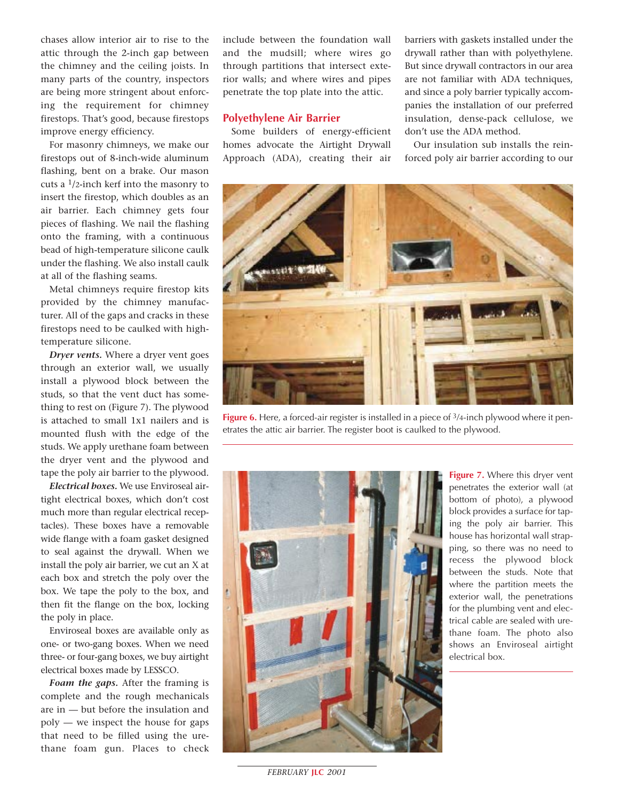chases allow interior air to rise to the attic through the 2-inch gap between the chimney and the ceiling joists. In many parts of the country, inspectors are being more stringent about enforcing the requirement for chimney firestops. That's good, because firestops improve energy efficiency.

For masonry chimneys, we make our firestops out of 8-inch-wide aluminum flashing, bent on a brake. Our mason cuts a  $\frac{1}{2}$ -inch kerf into the masonry to insert the firestop, which doubles as an air barrier. Each chimney gets four pieces of flashing. We nail the flashing onto the framing, with a continuous bead of high-temperature silicone caulk under the flashing. We also install caulk at all of the flashing seams.

Metal chimneys require firestop kits provided by the chimney manufacturer. All of the gaps and cracks in these firestops need to be caulked with hightemperature silicone.

*Dryer vents.* Where a dryer vent goes through an exterior wall, we usually install a plywood block between the studs, so that the vent duct has something to rest on (Figure 7). The plywood is attached to small 1x1 nailers and is mounted flush with the edge of the studs. We apply urethane foam between the dryer vent and the plywood and tape the poly air barrier to the plywood.

*Electrical boxes.* We use Enviroseal airtight electrical boxes, which don't cost much more than regular electrical receptacles). These boxes have a removable wide flange with a foam gasket designed to seal against the drywall. When we install the poly air barrier, we cut an X at each box and stretch the poly over the box. We tape the poly to the box, and then fit the flange on the box, locking the poly in place.

Enviroseal boxes are available only as one- or two-gang boxes. When we need three- or four-gang boxes, we buy airtight electrical boxes made by LESSCO.

*Foam the gaps.* After the framing is complete and the rough mechanicals are in — but before the insulation and poly — we inspect the house for gaps that need to be filled using the urethane foam gun. Places to check

include between the foundation wall and the mudsill; where wires go through partitions that intersect exterior walls; and where wires and pipes penetrate the top plate into the attic.

#### **Polyethylene Air Barrier**

Some builders of energy-efficient homes advocate the Airtight Drywall Approach (ADA), creating their air barriers with gaskets installed under the drywall rather than with polyethylene. But since drywall contractors in our area are not familiar with ADA techniques, and since a poly barrier typically accompanies the installation of our preferred insulation, dense-pack cellulose, we don't use the ADA method.

Our insulation sub installs the reinforced poly air barrier according to our



**Figure 6.** Here, a forced-air register is installed in a piece of 3/4-inch plywood where it penetrates the attic air barrier. The register boot is caulked to the plywood.



**Figure 7.** Where this dryer vent penetrates the exterior wall (at bottom of photo), a plywood block provides a surface for taping the poly air barrier. This house has horizontal wall strapping, so there was no need to recess the plywood block between the studs. Note that where the partition meets the exterior wall, the penetrations for the plumbing vent and electrical cable are sealed with urethane foam. The photo also shows an Enviroseal airtight electrical box.

*FEBRUARY* **JLC** *2001*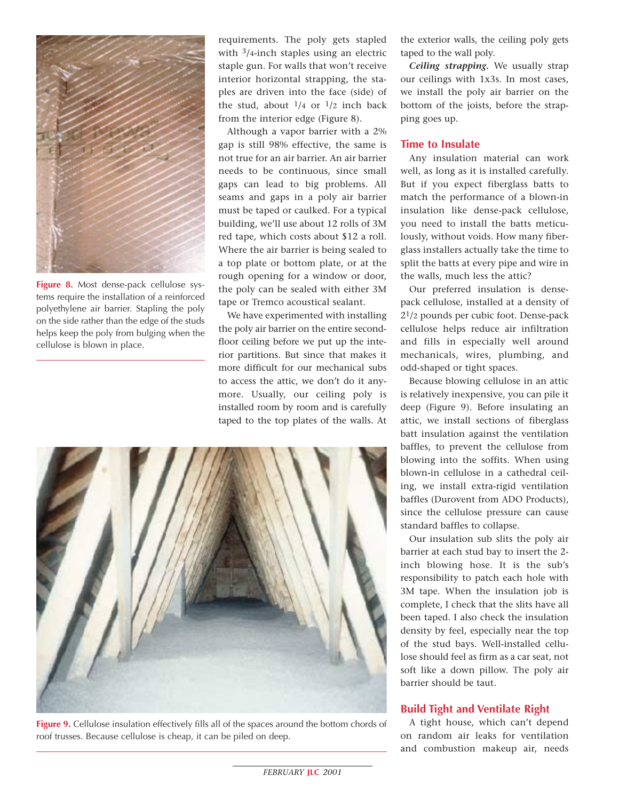

**Figure 8.** Most dense-pack cellulose systems require the installation of a reinforced polyethylene air barrier. Stapling the poly on the side rather than the edge of the studs helps keep the poly from bulging when the cellulose is blown in place.

requirements. The poly gets stapled with  $\frac{3}{4}$ -inch staples using an electric staple gun. For walls that won't receive interior horizontal strapping, the staples are driven into the face (side) of the stud, about  $\frac{1}{4}$  or  $\frac{1}{2}$  inch back from the interior edge (Figure 8).

Although a vapor barrier with a 2% gap is still 98% effective, the same is not true for an air barrier. An air barrier needs to be continuous, since small gaps can lead to big problems. All seams and gaps in a poly air barrier must be taped or caulked. For a typical building, we'll use about 12 rolls of 3M red tape, which costs about \$12 a roll. Where the air barrier is being sealed to a top plate or bottom plate, or at the rough opening for a window or door, the poly can be sealed with either 3M tape or Tremco acoustical sealant.

We have experimented with installing the poly air barrier on the entire secondfloor ceiling before we put up the interior partitions. But since that makes it more difficult for our mechanical subs to access the attic, we don't do it anymore. Usually, our ceiling poly is installed room by room and is carefully taped to the top plates of the walls. At



**Figure 9.** Cellulose insulation effectively fills all of the spaces around the bottom chords of roof trusses. Because cellulose is cheap, it can be piled on deep.

the exterior walls, the ceiling poly gets taped to the wall poly.

*Ceiling strapping.* We usually strap our ceilings with 1x3s. In most cases, we install the poly air barrier on the bottom of the joists, before the strapping goes up.

### **Time to Insulate**

Any insulation material can work well, as long as it is installed carefully. But if you expect fiberglass batts to match the performance of a blown-in insulation like dense-pack cellulose, you need to install the batts meticulously, without voids. How many fiberglass installers actually take the time to split the batts at every pipe and wire in the walls, much less the attic?

Our preferred insulation is densepack cellulose, installed at a density of 21/2 pounds per cubic foot. Dense-pack cellulose helps reduce air infiltration and fills in especially well around mechanicals, wires, plumbing, and odd-shaped or tight spaces.

Because blowing cellulose in an attic is relatively inexpensive, you can pile it deep (Figure 9). Before insulating an attic, we install sections of fiberglass batt insulation against the ventilation baffles, to prevent the cellulose from blowing into the soffits. When using blown-in cellulose in a cathedral ceiling, we install extra-rigid ventilation baffles (Durovent from ADO Products), since the cellulose pressure can cause standard baffles to collapse.

Our insulation sub slits the poly air barrier at each stud bay to insert the 2 inch blowing hose. It is the sub's responsibility to patch each hole with 3M tape. When the insulation job is complete, I check that the slits have all been taped. I also check the insulation density by feel, especially near the top of the stud bays. Well-installed cellulose should feel as firm as a car seat, not soft like a down pillow. The poly air barrier should be taut.

## **Build Tight and Ventilate Right**

A tight house, which can't depend on random air leaks for ventilation and combustion makeup air, needs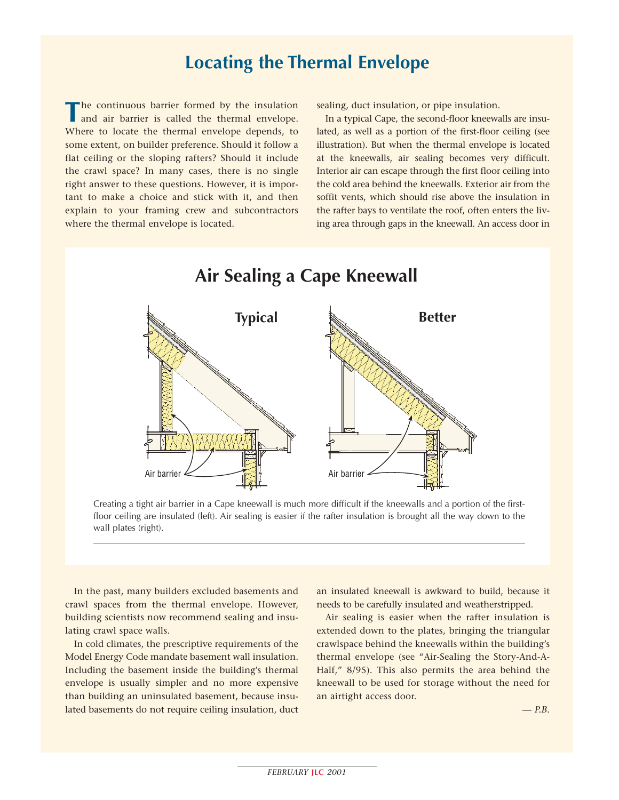# **Locating the Thermal Envelope**

**The continuous barrier formed by the insulation**<br>and air barrier is called the thermal envelope. Where to locate the thermal envelope depends, to some extent, on builder preference. Should it follow a flat ceiling or the sloping rafters? Should it include the crawl space? In many cases, there is no single right answer to these questions. However, it is important to make a choice and stick with it, and then explain to your framing crew and subcontractors where the thermal envelope is located.

sealing, duct insulation, or pipe insulation.

In a typical Cape, the second-floor kneewalls are insulated, as well as a portion of the first-floor ceiling (see illustration). But when the thermal envelope is located at the kneewalls, air sealing becomes very difficult. Interior air can escape through the first floor ceiling into the cold area behind the kneewalls. Exterior air from the soffit vents, which should rise above the insulation in the rafter bays to ventilate the roof, often enters the living area through gaps in the kneewall. An access door in



Creating a tight air barrier in a Cape kneewall is much more difficult if the kneewalls and a portion of the firstfloor ceiling are insulated (left). Air sealing is easier if the rafter insulation is brought all the way down to the wall plates (right).

In the past, many builders excluded basements and crawl spaces from the thermal envelope. However, building scientists now recommend sealing and insulating crawl space walls.

In cold climates, the prescriptive requirements of the Model Energy Code mandate basement wall insulation. Including the basement inside the building's thermal envelope is usually simpler and no more expensive than building an uninsulated basement, because insulated basements do not require ceiling insulation, duct an insulated kneewall is awkward to build, because it needs to be carefully insulated and weatherstripped.

Air sealing is easier when the rafter insulation is extended down to the plates, bringing the triangular crawlspace behind the kneewalls within the building's thermal envelope (see "Air-Sealing the Story-And-A-Half," 8/95). This also permits the area behind the kneewall to be used for storage without the need for an airtight access door.

*— P.B.*